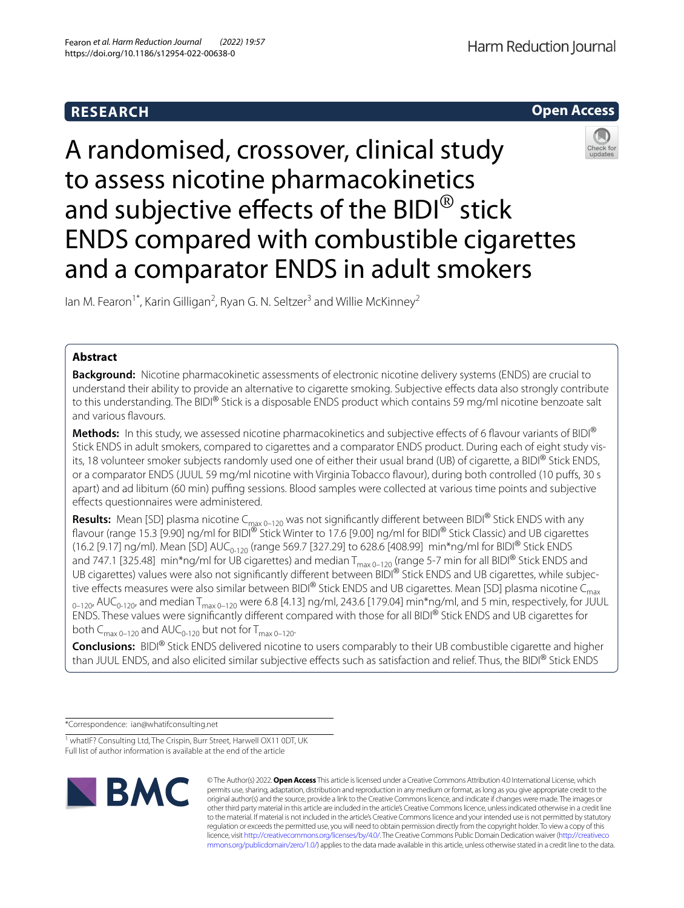# **RESEARCH**

**Open Access**

# A randomised, crossover, clinical study to assess nicotine pharmacokinetics and subjective effects of the BIDI<sup>®</sup> stick ENDS compared with combustible cigarettes and a comparator ENDS in adult smokers

lan M. Fearon<sup>1\*</sup>, Karin Gilligan<sup>2</sup>, Ryan G. N. Seltzer<sup>3</sup> and Willie McKinney<sup>2</sup>

# **Abstract**

**Background:** Nicotine pharmacokinetic assessments of electronic nicotine delivery systems (ENDS) are crucial to understand their ability to provide an alternative to cigarette smoking. Subjective efects data also strongly contribute to this understanding. The BIDI® Stick is a disposable ENDS product which contains 59 mg/ml nicotine benzoate salt and various favours.

Methods: In this study, we assessed nicotine pharmacokinetics and subjective effects of 6 flavour variants of BIDI® Stick ENDS in adult smokers, compared to cigarettes and a comparator ENDS product. During each of eight study visits, 18 volunteer smoker subjects randomly used one of either their usual brand (UB) of cigarette, a BIDI® Stick ENDS, or a comparator ENDS (JUUL 59 mg/ml nicotine with Virginia Tobacco favour), during both controlled (10 pufs, 30 s apart) and ad libitum (60 min) puffing sessions. Blood samples were collected at various time points and subjective efects questionnaires were administered.

**Results:** Mean [SD] plasma nicotine C<sub>max 0–120</sub> was not significantly different between BIDI® Stick ENDS with any flavour (range 15.3 [9.90] ng/ml for BIDI® Stick Winter to 17.6 [9.00] ng/ml for BIDI® Stick Classic) and UB cigarettes (16.2 [9.17] ng/ml). Mean [SD] AUC<sub>0-120</sub> (range 569.7 [327.29] to 628.6 [408.99] min\*ng/ml for BIDI® Stick ENDS and 747.1 [325.48] min\*ng/ml for UB cigarettes) and median  $T_{max 0-120}$  (range 5-7 min for all BIDI® Stick ENDS and UB cigarettes) values were also not signifcantly diferent between BIDI® Stick ENDS and UB cigarettes, while subjective effects measures were also similar between BIDI® Stick ENDS and UB cigarettes. Mean [SD] plasma nicotine  $C_{\text{max}}$  $_{0-120}$ , AUC<sub>0-120</sub>, and median T<sub>max 0-120</sub> were 6.8 [4.13] ng/ml, 243.6 [179.04] min\*ng/ml, and 5 min, respectively, for JUUL ENDS. These values were signifcantly diferent compared with those for all BIDI® Stick ENDS and UB cigarettes for both  $C_{\text{max } 0-120}$  and  $\text{AUC}_{0-120}$  but not for  $T_{\text{max } 0-120}$ .

**Conclusions:** BIDI® Stick ENDS delivered nicotine to users comparably to their UB combustible cigarette and higher than JUUL ENDS, and also elicited similar subjective effects such as satisfaction and relief. Thus, the BIDI® Stick ENDS

\*Correspondence: ian@whatifconsulting.net

<sup>&</sup>lt;sup>1</sup> whatIF? Consulting Ltd, The Crispin, Burr Street, Harwell OX11 0DT, UK Full list of author information is available at the end of the article



© The Author(s) 2022. **Open Access** This article is licensed under a Creative Commons Attribution 4.0 International License, which permits use, sharing, adaptation, distribution and reproduction in any medium or format, as long as you give appropriate credit to the original author(s) and the source, provide a link to the Creative Commons licence, and indicate if changes were made. The images or other third party material in this article are included in the article's Creative Commons licence, unless indicated otherwise in a credit line to the material. If material is not included in the article's Creative Commons licence and your intended use is not permitted by statutory regulation or exceeds the permitted use, you will need to obtain permission directly from the copyright holder. To view a copy of this licence, visit [http://creativecommons.org/licenses/by/4.0/.](http://creativecommons.org/licenses/by/4.0/) The Creative Commons Public Domain Dedication waiver ([http://creativeco](http://creativecommons.org/publicdomain/zero/1.0/) [mmons.org/publicdomain/zero/1.0/](http://creativecommons.org/publicdomain/zero/1.0/)) applies to the data made available in this article, unless otherwise stated in a credit line to the data.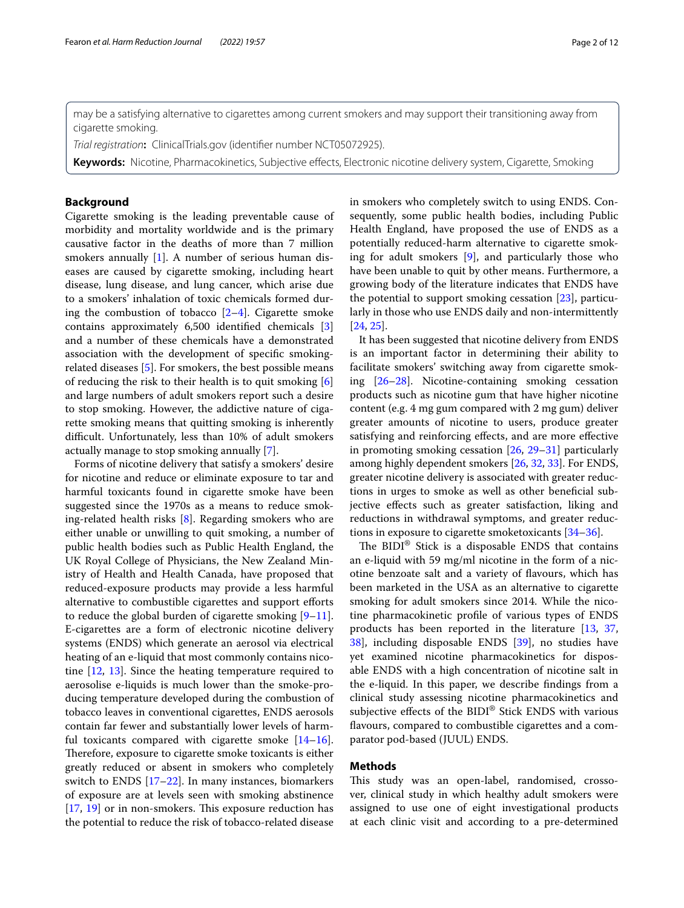may be a satisfying alternative to cigarettes among current smokers and may support their transitioning away from cigarette smoking.

*Trial registration***:** ClinicalTrials.gov (identifer number NCT05072925).

**Keywords:** Nicotine, Pharmacokinetics, Subjective efects, Electronic nicotine delivery system, Cigarette, Smoking

# **Background**

Cigarette smoking is the leading preventable cause of morbidity and mortality worldwide and is the primary causative factor in the deaths of more than 7 million smokers annually [\[1](#page-9-0)]. A number of serious human diseases are caused by cigarette smoking, including heart disease, lung disease, and lung cancer, which arise due to a smokers' inhalation of toxic chemicals formed during the combustion of tobacco  $[2-4]$  $[2-4]$ . Cigarette smoke contains approximately 6,500 identifed chemicals [\[3](#page-9-3)] and a number of these chemicals have a demonstrated association with the development of specifc smokingrelated diseases [[5\]](#page-9-4). For smokers, the best possible means of reducing the risk to their health is to quit smoking [\[6](#page-9-5)] and large numbers of adult smokers report such a desire to stop smoking. However, the addictive nature of cigarette smoking means that quitting smoking is inherently difficult. Unfortunately, less than 10% of adult smokers actually manage to stop smoking annually [\[7](#page-9-6)].

Forms of nicotine delivery that satisfy a smokers' desire for nicotine and reduce or eliminate exposure to tar and harmful toxicants found in cigarette smoke have been suggested since the 1970s as a means to reduce smoking-related health risks [[8\]](#page-9-7). Regarding smokers who are either unable or unwilling to quit smoking, a number of public health bodies such as Public Health England, the UK Royal College of Physicians, the New Zealand Ministry of Health and Health Canada, have proposed that reduced-exposure products may provide a less harmful alternative to combustible cigarettes and support efforts to reduce the global burden of cigarette smoking  $[9-11]$  $[9-11]$ . E-cigarettes are a form of electronic nicotine delivery systems (ENDS) which generate an aerosol via electrical heating of an e-liquid that most commonly contains nicotine [\[12](#page-9-10), [13\]](#page-9-11). Since the heating temperature required to aerosolise e-liquids is much lower than the smoke-producing temperature developed during the combustion of tobacco leaves in conventional cigarettes, ENDS aerosols contain far fewer and substantially lower levels of harmful toxicants compared with cigarette smoke  $[14-16]$  $[14-16]$  $[14-16]$ . Therefore, exposure to cigarette smoke toxicants is either greatly reduced or absent in smokers who completely switch to ENDS [\[17](#page-9-14)[–22](#page-10-0)]. In many instances, biomarkers of exposure are at levels seen with smoking abstinence  $[17, 19]$  $[17, 19]$  $[17, 19]$  $[17, 19]$  or in non-smokers. This exposure reduction has the potential to reduce the risk of tobacco-related disease in smokers who completely switch to using ENDS. Consequently, some public health bodies, including Public Health England, have proposed the use of ENDS as a potentially reduced-harm alternative to cigarette smoking for adult smokers [[9\]](#page-9-8), and particularly those who have been unable to quit by other means. Furthermore, a growing body of the literature indicates that ENDS have the potential to support smoking cessation [\[23](#page-10-2)], particularly in those who use ENDS daily and non-intermittently [[24,](#page-10-3) [25](#page-10-4)].

It has been suggested that nicotine delivery from ENDS is an important factor in determining their ability to facilitate smokers' switching away from cigarette smoking [[26](#page-10-5)[–28](#page-10-6)]. Nicotine-containing smoking cessation products such as nicotine gum that have higher nicotine content (e.g. 4 mg gum compared with 2 mg gum) deliver greater amounts of nicotine to users, produce greater satisfying and reinforcing efects, and are more efective in promoting smoking cessation [\[26](#page-10-5), [29](#page-10-7)[–31](#page-10-8)] particularly among highly dependent smokers [\[26,](#page-10-5) [32](#page-10-9), [33\]](#page-10-10). For ENDS, greater nicotine delivery is associated with greater reductions in urges to smoke as well as other benefcial subjective efects such as greater satisfaction, liking and reductions in withdrawal symptoms, and greater reductions in exposure to cigarette smoketoxicants [\[34](#page-10-11)[–36](#page-10-12)].

The  $BIDI^@$  Stick is a disposable ENDS that contains an e-liquid with 59 mg/ml nicotine in the form of a nicotine benzoate salt and a variety of favours, which has been marketed in the USA as an alternative to cigarette smoking for adult smokers since 2014. While the nicotine pharmacokinetic profle of various types of ENDS products has been reported in the literature [\[13](#page-9-11), [37](#page-10-13), [38\]](#page-10-14), including disposable ENDS [\[39](#page-10-15)], no studies have yet examined nicotine pharmacokinetics for disposable ENDS with a high concentration of nicotine salt in the e-liquid. In this paper, we describe fndings from a clinical study assessing nicotine pharmacokinetics and subjective efects of the BIDI® Stick ENDS with various favours, compared to combustible cigarettes and a comparator pod-based (JUUL) ENDS.

# **Methods**

This study was an open-label, randomised, crossover, clinical study in which healthy adult smokers were assigned to use one of eight investigational products at each clinic visit and according to a pre-determined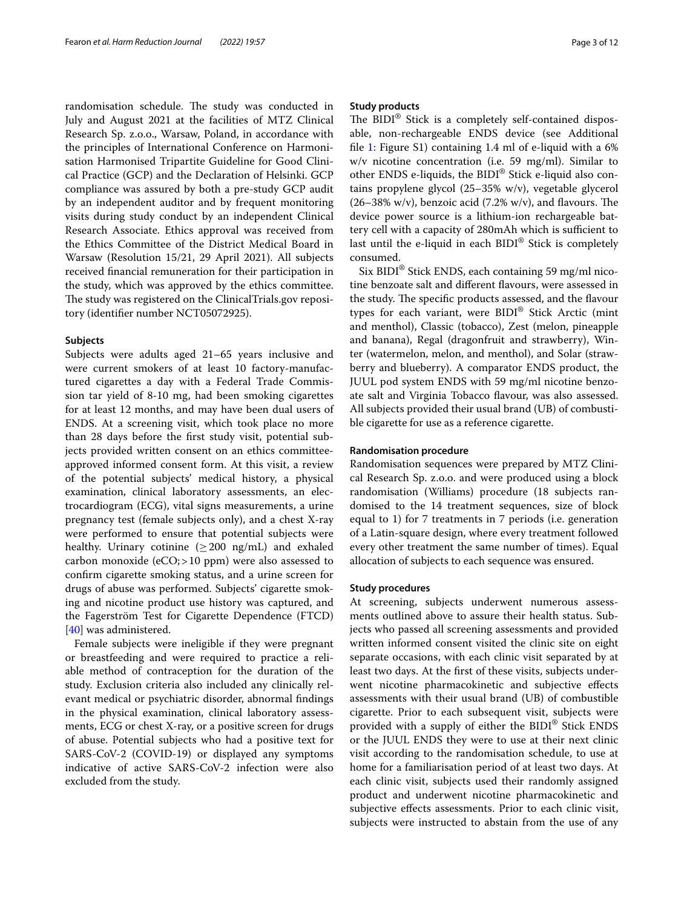randomisation schedule. The study was conducted in July and August 2021 at the facilities of MTZ Clinical Research Sp. z.o.o., Warsaw, Poland, in accordance with the principles of International Conference on Harmonisation Harmonised Tripartite Guideline for Good Clinical Practice (GCP) and the Declaration of Helsinki. GCP compliance was assured by both a pre-study GCP audit by an independent auditor and by frequent monitoring visits during study conduct by an independent Clinical Research Associate. Ethics approval was received from the Ethics Committee of the District Medical Board in Warsaw (Resolution 15/21, 29 April 2021). All subjects received fnancial remuneration for their participation in the study, which was approved by the ethics committee. The study was registered on the ClinicalTrials.gov repository (identifer number NCT05072925).

# **Subjects**

Subjects were adults aged 21–65 years inclusive and were current smokers of at least 10 factory-manufactured cigarettes a day with a Federal Trade Commission tar yield of 8-10 mg, had been smoking cigarettes for at least 12 months, and may have been dual users of ENDS. At a screening visit, which took place no more than 28 days before the frst study visit, potential subjects provided written consent on an ethics committeeapproved informed consent form. At this visit, a review of the potential subjects' medical history, a physical examination, clinical laboratory assessments, an electrocardiogram (ECG), vital signs measurements, a urine pregnancy test (female subjects only), and a chest X-ray were performed to ensure that potential subjects were healthy. Urinary cotinine ( $\geq 200$  ng/mL) and exhaled carbon monoxide (eCO;>10 ppm) were also assessed to confrm cigarette smoking status, and a urine screen for drugs of abuse was performed. Subjects' cigarette smoking and nicotine product use history was captured, and the Fagerström Test for Cigarette Dependence (FTCD) [[40\]](#page-10-16) was administered.

Female subjects were ineligible if they were pregnant or breastfeeding and were required to practice a reliable method of contraception for the duration of the study. Exclusion criteria also included any clinically relevant medical or psychiatric disorder, abnormal fndings in the physical examination, clinical laboratory assessments, ECG or chest X-ray, or a positive screen for drugs of abuse. Potential subjects who had a positive text for SARS-CoV-2 (COVID-19) or displayed any symptoms indicative of active SARS-CoV-2 infection were also excluded from the study.

# **Study products**

The  $BIDI^@$  Stick is a completely self-contained disposable, non-rechargeable ENDS device (see Additional fle [1](#page-9-15): Figure S1) containing 1.4 ml of e-liquid with a 6% w/v nicotine concentration (i.e. 59 mg/ml). Similar to other ENDS e-liquids, the BIDI® Stick e-liquid also contains propylene glycol (25–35% w/v), vegetable glycerol  $(26-38\% \text{ w/v})$ , benzoic acid  $(7.2\% \text{ w/v})$ , and flavours. The device power source is a lithium-ion rechargeable battery cell with a capacity of 280mAh which is sufficient to last until the e-liquid in each BIDI® Stick is completely consumed.

Six BIDI® Stick ENDS, each containing 59 mg/ml nicotine benzoate salt and diferent favours, were assessed in the study. The specific products assessed, and the flavour types for each variant, were BIDI® Stick Arctic (mint and menthol), Classic (tobacco), Zest (melon, pineapple and banana), Regal (dragonfruit and strawberry), Winter (watermelon, melon, and menthol), and Solar (strawberry and blueberry). A comparator ENDS product, the JUUL pod system ENDS with 59 mg/ml nicotine benzoate salt and Virginia Tobacco favour, was also assessed. All subjects provided their usual brand (UB) of combustible cigarette for use as a reference cigarette.

# **Randomisation procedure**

Randomisation sequences were prepared by MTZ Clinical Research Sp. z.o.o. and were produced using a block randomisation (Williams) procedure (18 subjects randomised to the 14 treatment sequences, size of block equal to 1) for 7 treatments in 7 periods (i.e. generation of a Latin-square design, where every treatment followed every other treatment the same number of times). Equal allocation of subjects to each sequence was ensured.

# **Study procedures**

At screening, subjects underwent numerous assessments outlined above to assure their health status. Subjects who passed all screening assessments and provided written informed consent visited the clinic site on eight separate occasions, with each clinic visit separated by at least two days. At the frst of these visits, subjects underwent nicotine pharmacokinetic and subjective efects assessments with their usual brand (UB) of combustible cigarette. Prior to each subsequent visit, subjects were provided with a supply of either the BIDI® Stick ENDS or the JUUL ENDS they were to use at their next clinic visit according to the randomisation schedule, to use at home for a familiarisation period of at least two days. At each clinic visit, subjects used their randomly assigned product and underwent nicotine pharmacokinetic and subjective efects assessments. Prior to each clinic visit, subjects were instructed to abstain from the use of any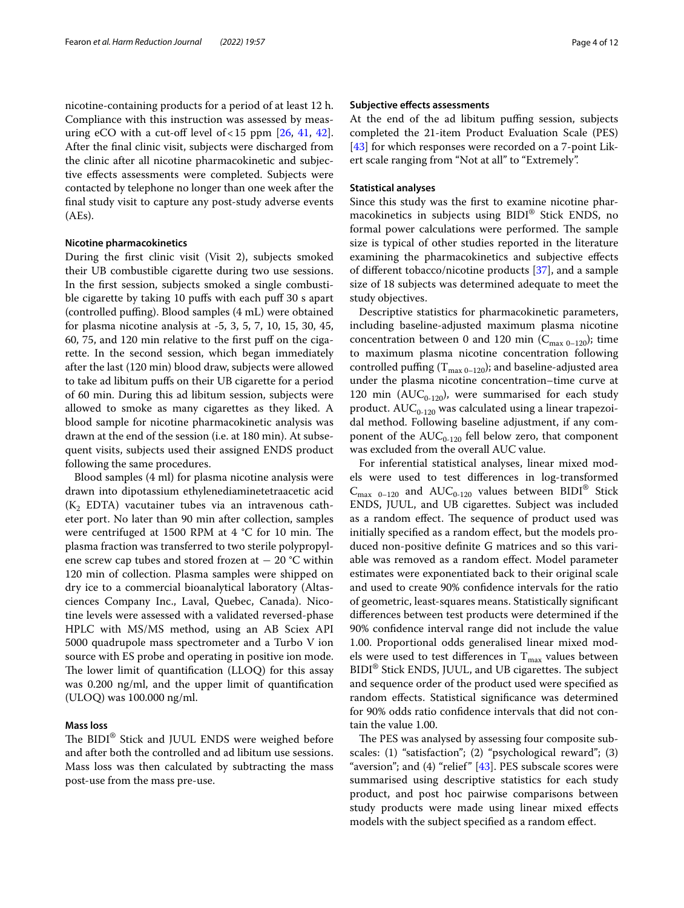nicotine-containing products for a period of at least 12 h. Compliance with this instruction was assessed by measuring eCO with a cut-off level of <15 ppm  $[26, 41, 42]$  $[26, 41, 42]$  $[26, 41, 42]$  $[26, 41, 42]$  $[26, 41, 42]$  $[26, 41, 42]$  $[26, 41, 42]$ . After the fnal clinic visit, subjects were discharged from the clinic after all nicotine pharmacokinetic and subjective efects assessments were completed. Subjects were contacted by telephone no longer than one week after the fnal study visit to capture any post-study adverse events (AEs).

#### **Nicotine pharmacokinetics**

During the frst clinic visit (Visit 2), subjects smoked their UB combustible cigarette during two use sessions. In the frst session, subjects smoked a single combustible cigarette by taking 10 pufs with each puf 30 s apart (controlled puffing). Blood samples (4 mL) were obtained for plasma nicotine analysis at -5, 3, 5, 7, 10, 15, 30, 45, 60, 75, and 120 min relative to the frst puf on the cigarette. In the second session, which began immediately after the last (120 min) blood draw, subjects were allowed to take ad libitum pufs on their UB cigarette for a period of 60 min. During this ad libitum session, subjects were allowed to smoke as many cigarettes as they liked. A blood sample for nicotine pharmacokinetic analysis was drawn at the end of the session (i.e. at 180 min). At subsequent visits, subjects used their assigned ENDS product following the same procedures.

Blood samples (4 ml) for plasma nicotine analysis were drawn into dipotassium ethylenediaminetetraacetic acid  $(K_2$  EDTA) vacutainer tubes via an intravenous catheter port. No later than 90 min after collection, samples were centrifuged at 1500 RPM at  $4 °C$  for 10 min. The plasma fraction was transferred to two sterile polypropylene screw cap tubes and stored frozen at − 20 °C within 120 min of collection. Plasma samples were shipped on dry ice to a commercial bioanalytical laboratory (Altasciences Company Inc., Laval, Quebec, Canada). Nicotine levels were assessed with a validated reversed-phase HPLC with MS/MS method, using an AB Sciex API 5000 quadrupole mass spectrometer and a Turbo V ion source with ES probe and operating in positive ion mode. The lower limit of quantification  $(LLOQ)$  for this assay was 0.200 ng/ml, and the upper limit of quantifcation (ULOQ) was 100.000 ng/ml.

# **Mass loss**

The BIDI<sup>®</sup> Stick and JUUL ENDS were weighed before and after both the controlled and ad libitum use sessions. Mass loss was then calculated by subtracting the mass post-use from the mass pre-use.

#### **Subjective efects assessments**

At the end of the ad libitum pufng session, subjects completed the 21-item Product Evaluation Scale (PES) [[43\]](#page-10-19) for which responses were recorded on a 7-point Likert scale ranging from "Not at all" to "Extremely".

# **Statistical analyses**

Since this study was the frst to examine nicotine pharmacokinetics in subjects using BIDI® Stick ENDS, no formal power calculations were performed. The sample size is typical of other studies reported in the literature examining the pharmacokinetics and subjective efects of diferent tobacco/nicotine products [[37\]](#page-10-13), and a sample size of 18 subjects was determined adequate to meet the study objectives.

Descriptive statistics for pharmacokinetic parameters, including baseline-adjusted maximum plasma nicotine concentration between 0 and 120 min ( $C_{\text{max 0-120}}$ ); time to maximum plasma nicotine concentration following controlled puffing  $(T_{max 0-120})$ ; and baseline-adjusted area under the plasma nicotine concentration–time curve at 120 min ( $AUC_{0-120}$ ), were summarised for each study product.  $AUC_{0-120}$  was calculated using a linear trapezoidal method. Following baseline adjustment, if any component of the  $AUC_{0-120}$  fell below zero, that component was excluded from the overall AUC value.

For inferential statistical analyses, linear mixed models were used to test diferences in log-transformed  $C_{\text{max}}$  <sub>0–120</sub> and AUC<sub>0-120</sub> values between BIDI<sup>®</sup> Stick ENDS, JUUL, and UB cigarettes. Subject was included as a random effect. The sequence of product used was initially specifed as a random efect, but the models produced non-positive defnite G matrices and so this variable was removed as a random efect. Model parameter estimates were exponentiated back to their original scale and used to create 90% confdence intervals for the ratio of geometric, least-squares means. Statistically signifcant diferences between test products were determined if the 90% confdence interval range did not include the value 1.00. Proportional odds generalised linear mixed models were used to test differences in  $T_{max}$  values between BIDI<sup>®</sup> Stick ENDS, JUUL, and UB cigarettes. The subject and sequence order of the product used were specifed as random efects. Statistical signifcance was determined for 90% odds ratio confdence intervals that did not contain the value 1.00.

The PES was analysed by assessing four composite subscales: (1) "satisfaction"; (2) "psychological reward"; (3) "aversion"; and  $(4)$  "relief"  $[43]$ . PES subscale scores were summarised using descriptive statistics for each study product, and post hoc pairwise comparisons between study products were made using linear mixed efects models with the subject specifed as a random efect.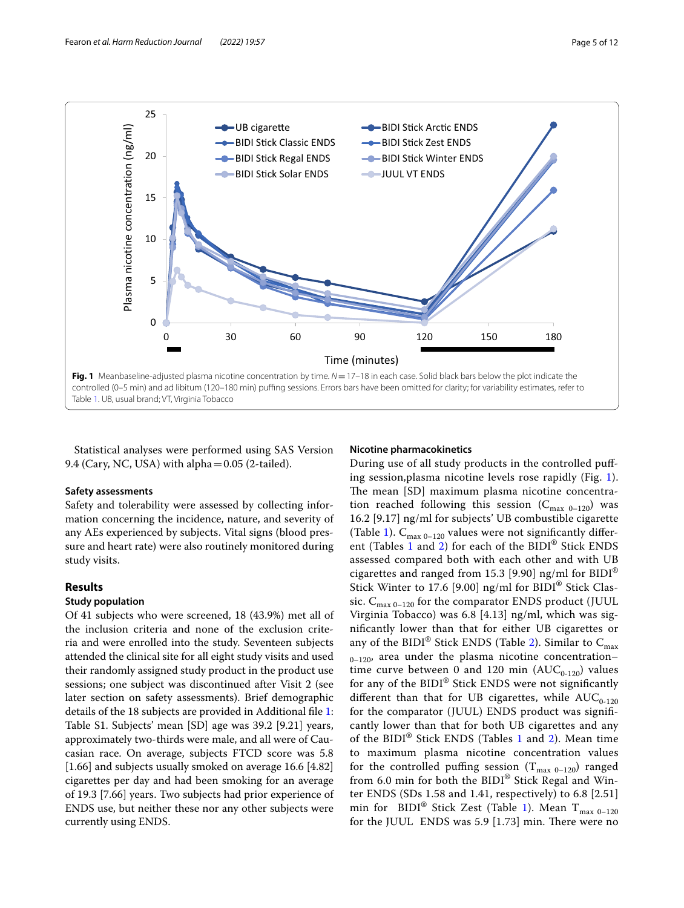

<span id="page-4-0"></span>Statistical analyses were performed using SAS Version 9.4 (Cary, NC, USA) with alpha=0.05 (2-tailed).

# **Nicotine pharmacokinetics**

# **Safety assessments**

Safety and tolerability were assessed by collecting information concerning the incidence, nature, and severity of any AEs experienced by subjects. Vital signs (blood pressure and heart rate) were also routinely monitored during study visits.

# **Results**

# **Study population**

Of 41 subjects who were screened, 18 (43.9%) met all of the inclusion criteria and none of the exclusion criteria and were enrolled into the study. Seventeen subjects attended the clinical site for all eight study visits and used their randomly assigned study product in the product use sessions; one subject was discontinued after Visit 2 (see later section on safety assessments). Brief demographic details of the 18 subjects are provided in Additional fle [1](#page-9-15): Table S1. Subjects' mean [SD] age was 39.2 [9.21] years, approximately two-thirds were male, and all were of Caucasian race. On average, subjects FTCD score was 5.8 [1.66] and subjects usually smoked on average 16.6 [4.82] cigarettes per day and had been smoking for an average of 19.3 [7.66] years. Two subjects had prior experience of ENDS use, but neither these nor any other subjects were currently using ENDS.

During use of all study products in the controlled pufing session,plasma nicotine levels rose rapidly (Fig. [1](#page-4-0)). The mean [SD] maximum plasma nicotine concentration reached following this session  $(C_{\text{max }0-120})$  was 16.2 [9.17] ng/ml for subjects' UB combustible cigarette (Table [1\)](#page-5-0).  $C_{\text{max }0-120}$  values were not significantly different (Tables [1](#page-5-0) and [2](#page-6-0)) for each of the BIDI® Stick ENDS assessed compared both with each other and with UB cigarettes and ranged from 15.3 [9.90] ng/ml for BIDI® Stick Winter to 17.6 [9.00] ng/ml for BIDI® Stick Classic.  $C_{\text{max }0-120}$  for the comparator ENDS product (JUUL Virginia Tobacco) was 6.8 [4.13] ng/ml, which was signifcantly lower than that for either UB cigarettes or any of the BIDI® Stick ENDS (Table [2\)](#page-6-0). Similar to  $C_{\text{max}}$  $_{0-120}$ , area under the plasma nicotine concentrationtime curve between 0 and 120 min  $(AUC_{0-120})$  values for any of the BIDI® Stick ENDS were not signifcantly different than that for UB cigarettes, while  $AUC_{0-120}$ for the comparator (JUUL) ENDS product was signifcantly lower than that for both UB cigarettes and any of the BIDI® Stick ENDS (Tables [1](#page-5-0) and [2\)](#page-6-0). Mean time to maximum plasma nicotine concentration values for the controlled puffing session  $(T_{max 0-120})$  ranged from 6.0 min for both the BIDI<sup>®</sup> Stick Regal and Winter ENDS (SDs 1.58 and 1.41, respectively) to 6.8 [2.51] min for BIDI<sup>®</sup> Stick Zest (Table [1\)](#page-5-0). Mean  $T_{\text{max }0-120}$ for the JUUL ENDS was  $5.9$  [1.73] min. There were no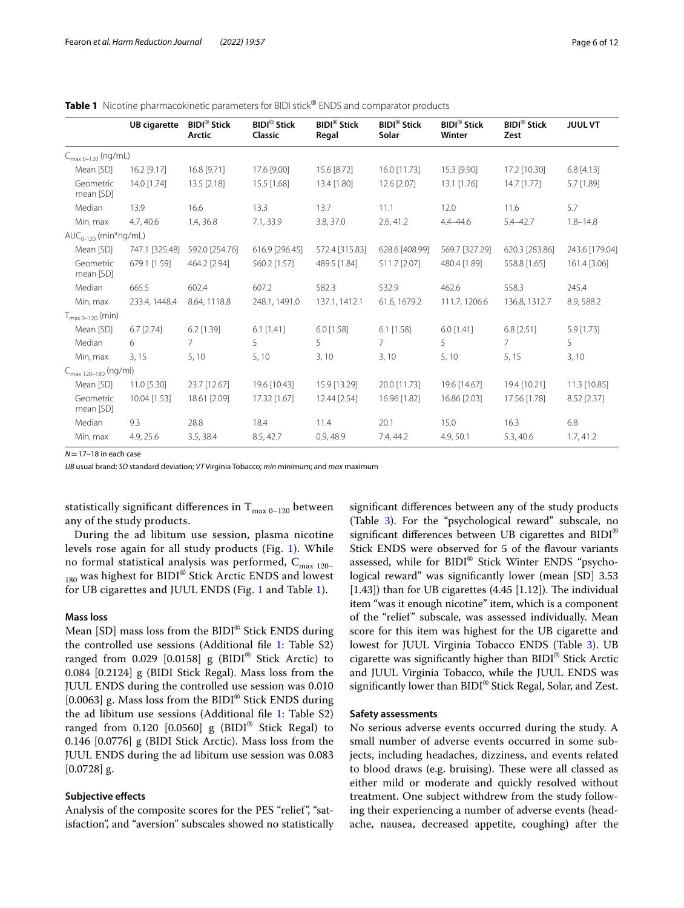<span id="page-5-0"></span>**Table 1** Nicotine pharmacokinetic parameters for BIDI stick<sup>®</sup> ENDS and comparator products

|                                  | <b>UB</b> cigarette | <b>BIDI®</b> Stick<br>Arctic | <b>BIDI®</b> Stick<br>Classic | <b>BIDI®</b> Stick<br>Regal | <b>BIDI®</b> Stick<br>Solar | <b>BIDI®</b> Stick<br>Winter | <b>BIDI®</b> Stick<br>Zest | <b>JUUL VT</b> |
|----------------------------------|---------------------|------------------------------|-------------------------------|-----------------------------|-----------------------------|------------------------------|----------------------------|----------------|
| $C_{\text{max }0-120}$ (ng/mL)   |                     |                              |                               |                             |                             |                              |                            |                |
| Mean [SD]                        | 16.2 [9.17]         | 16.8 [9.71]                  | 17.6 [9.00]                   | 15.6 [8.72]                 | 16.0 [11.73]                | 15.3 [9.90]                  | 17.2 [10.30]               | $6.8$ [4.13]   |
| Geometric<br>mean [SD]           | 14.0 [1.74]         | 13.5 [2.18]                  | 15.5 [1.68]                   | 13.4 [1.80]                 | 12.6 [2.07]                 | $13.1$ [1.76]                | $14.7$ [1.77]              | 5.7 [1.89]     |
| Median                           | 13.9                | 16.6                         | 13.3                          | 13.7                        | 11.1                        | 12.0                         | 11.6                       | 5.7            |
| Min, max                         | 4.7, 40.6           | 1.4, 36.8                    | 7.1, 33.9                     | 3.8, 37.0                   | 2.6, 41.2                   | $4.4 - 44.6$                 | $5.4 - 42.7$               | $1.8 - 14.8$   |
| $AUC_{0-120}$ (min*ng/mL)        |                     |                              |                               |                             |                             |                              |                            |                |
| Mean [SD]                        | 747.1 [325.48]      | 592.0 [254.76]               | 616.9 [296.45]                | 572.4 [315.83]              | 628.6 [408.99]              | 569.7 [327.29]               | 620.3 [283.86]             | 243.6 [179.04] |
| Geometric<br>mean [SD]           | 679.1 [1.59]        | 464.2 [2.94]                 | 560.2 [1.57]                  | 489.5 [1.84]                | 511.7 [2.07]                | 480.4 [1.89]                 | 558.8 [1.65]               | 161.4 [3.06]   |
| Median                           | 665.5               | 602.4                        | 607.2                         | 582.3                       | 532.9                       | 462.6                        | 558.3                      | 245.4          |
| Min, max                         | 233.4, 1448.4       | 8.64, 1118.8                 | 248.1, 1491.0                 | 137.1, 1412.1               | 61.6, 1679.2                | 111.7, 1206.6                | 136.8, 1312.7              | 8.9, 588.2     |
| $T_{\text{max }0-120}$ (min)     |                     |                              |                               |                             |                             |                              |                            |                |
| Mean [SD]                        | $6.7$ [2.74]        | $6.2$ [1.39]                 | $6.1$ [1.41]                  | $6.0$ [1.58]                | $6.1$ [1.58]                | $6.0$ [1.41]                 | $6.8$ [2.51]               | 5.9 [1.73]     |
| Median                           | 6                   | $7^{\circ}$                  | 5                             | 5                           | $\overline{7}$              | 5                            | $\overline{7}$             | 5              |
| Min, max                         | 3, 15               | 5,10                         | 5, 10                         | 3,10                        | 3, 10                       | 5, 10                        | 5, 15                      | 3,10           |
| $C_{\text{max }120-180}$ (ng/ml) |                     |                              |                               |                             |                             |                              |                            |                |
| Mean [SD]                        | 11.0 [5.30]         | 23.7 [12.67]                 | 19.6 [10.43]                  | 15.9 [13.29]                | 20.0 [11.73]                | 19.6 [14.67]                 | 19.4 [10.21]               | 11.3 [10.85]   |
| Geometric<br>mean [SD]           | 10.04 [1.53]        | 18.61 [2.09]                 | 17.32 [1.67]                  | 12.44 [2.54]                | 16.96 [1.82]                | 16.86 [2.03]                 | 17.56 [1.78]               | 8.52 [2.37]    |
| Median                           | 9.3                 | 28.8                         | 18.4                          | 11.4                        | 20.1                        | 15.0                         | 16.3                       | 6.8            |
| Min, max                         | 4.9, 25.6           | 3.5, 38.4                    | 8.5, 42.7                     | 0.9,48.9                    | 7.4, 44.2                   | 4.9, 50.1                    | 5.3, 40.6                  | 1.7, 41.2      |

*N*=17–18 in each case

*UB* usual brand; *SD* standard deviation; *VT* Virginia Tobacco; *min* minimum; and *max* maximum

statistically significant differences in  $T_{\text{max }0-120}$  between any of the study products.

During the ad libitum use session, plasma nicotine levels rose again for all study products (Fig. [1\)](#page-4-0). While no formal statistical analysis was performed,  $C_{\text{max 120-}}$  $_{180}$  was highest for BIDI® Stick Arctic ENDS and lowest for UB cigarettes and JUUL ENDS (Fig. [1](#page-4-0) and Table [1](#page-5-0)).

#### **Mass loss**

Mean [SD] mass loss from the BIDI® Stick ENDS during the controlled use sessions (Additional fle [1](#page-9-15): Table S2) ranged from 0.029 [0.0158]  $g$  (BIDI<sup>®</sup> Stick Arctic) to 0.084 [0.2124] g (BIDI Stick Regal). Mass loss from the JUUL ENDS during the controlled use session was 0.010 [0.0063] g. Mass loss from the BIDI® Stick ENDS during the ad libitum use sessions (Additional fle [1:](#page-9-15) Table S2) ranged from 0.120 [0.0560] g  $(BIDI^@$  Stick Regal) to 0.146 [0.0776] g (BIDI Stick Arctic). Mass loss from the JUUL ENDS during the ad libitum use session was 0.083 [0.0728] g.

# **Subjective efects**

Analysis of the composite scores for the PES "relief", "satisfaction", and "aversion" subscales showed no statistically

signifcant diferences between any of the study products (Table [3\)](#page-7-0). For the "psychological reward" subscale, no signifcant diferences between UB cigarettes and BIDI® Stick ENDS were observed for 5 of the favour variants assessed, while for BIDI® Stick Winter ENDS "psychological reward" was signifcantly lower (mean [SD] 3.53  $[1.43]$ ) than for UB cigarettes  $(4.45 [1.12])$ . The individual item "was it enough nicotine" item, which is a component of the "relief" subscale, was assessed individually. Mean score for this item was highest for the UB cigarette and lowest for JUUL Virginia Tobacco ENDS (Table [3](#page-7-0)). UB cigarette was signifcantly higher than BIDI® Stick Arctic and JUUL Virginia Tobacco, while the JUUL ENDS was signifcantly lower than BIDI® Stick Regal, Solar, and Zest.

# **Safety assessments**

No serious adverse events occurred during the study. A small number of adverse events occurred in some subjects, including headaches, dizziness, and events related to blood draws (e.g. bruising). These were all classed as either mild or moderate and quickly resolved without treatment. One subject withdrew from the study following their experiencing a number of adverse events (headache, nausea, decreased appetite, coughing) after the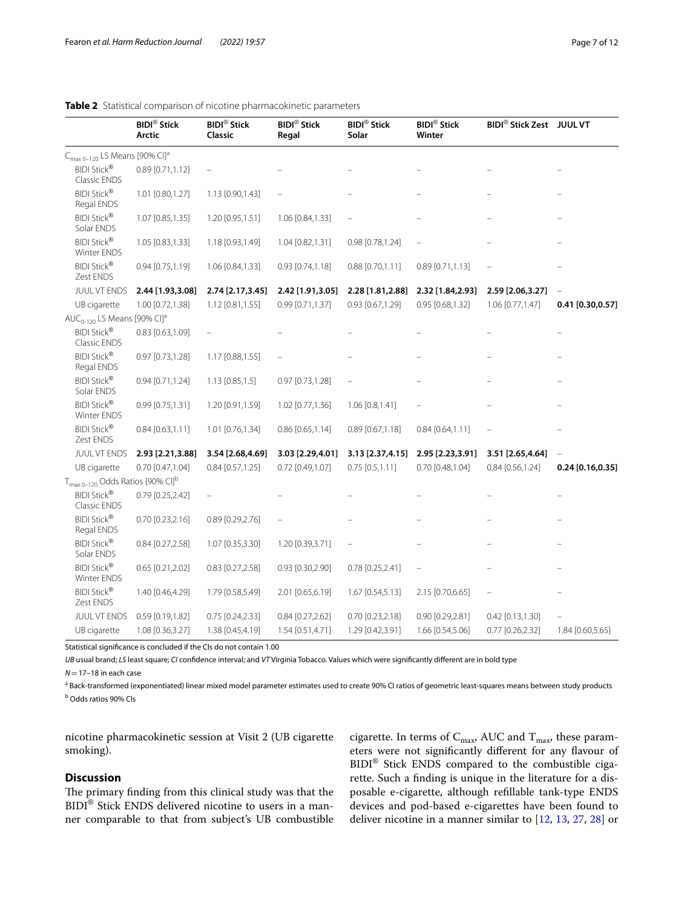|                                                          | <b>BIDI®</b> Stick<br>Arctic | <b>BIDI®</b> Stick<br>Classic | <b>BIDI®</b> Stick<br>Regal | <b>BIDI®</b> Stick<br>Solar | <b>BIDI®</b> Stick<br>Winter | <b>BIDI® Stick Zest JUUL VT</b> |                    |
|----------------------------------------------------------|------------------------------|-------------------------------|-----------------------------|-----------------------------|------------------------------|---------------------------------|--------------------|
| C <sub>max 0-120</sub> LS Means [90% CI] <sup>a</sup>    |                              |                               |                             |                             |                              |                                 |                    |
| <b>BIDI Stick®</b><br>Classic ENDS                       | $0.89$ [0.71,1.12]           |                               |                             |                             |                              |                                 |                    |
| <b>BIDI Stick®</b><br>Regal ENDS                         | 1.01 [0.80,1.27]             | 1.13 [0.90,1.43]              |                             |                             |                              |                                 |                    |
| <b>BIDI Stick®</b><br>Solar ENDS                         | 1.07 [0.85,1.35]             | 1.20 [0.95,1.51]              | 1.06 [0.84,1.33]            |                             |                              |                                 |                    |
| <b>BIDI Stick®</b><br>Winter ENDS                        | 1.05 [0.83,1.33]             | 1.18 [0.93,1.49]              | 1.04 [0.82,1.31]            | 0.98 [0.78,1.24]            |                              |                                 |                    |
| <b>BIDI Stick®</b><br>Zest ENDS                          | $0.94$ [0.75,1.19]           | 1.06 [0.84,1.33]              | $0.93$ $[0.74, 1.18]$       | $0.88$ [0.70,1.11]          | $0.89$ [0.71,1.13]           |                                 |                    |
| <b>JUUL VT ENDS</b>                                      | 2.44 [1.93,3.08]             | 2.74 [2.17,3.45]              | 2.42 [1.91,3.05]            | 2.28 [1.81,2.88]            | 2.32 [1.84, 2.93]            | 2.59 [2.06,3.27]                |                    |
| UB cigarette                                             | 1.00 [0.72,1.38]             | 1.12 [0.81,1.55]              | 0.99 [0.71,1.37]            | 0.93 [0.67,1.29]            | 0.95 [0.68,1.32]             | 1.06 [0.77,1.47]                | $0.41$ [0.30,0.57] |
| AUC <sub>0-120</sub> LS Means [90% CI] <sup>a</sup>      |                              |                               |                             |                             |                              |                                 |                    |
| <b>BIDI Stick®</b><br>Classic ENDS                       | 0.83 [0.63,1.09]             |                               |                             |                             |                              |                                 |                    |
| <b>BIDI Stick®</b><br>Regal ENDS                         | 0.97 [0.73,1.28]             | 1.17 [0.88,1.55]              |                             |                             |                              |                                 |                    |
| <b>BIDI Stick®</b><br>Solar ENDS                         | 0.94 [0.71,1.24]             | $1.13$ [0.85,1.5]             | 0.97 [0.73,1.28]            |                             |                              |                                 |                    |
| <b>BIDI Stick®</b><br>Winter ENDS                        | 0.99 [0.75,1.31]             | 1.20 [0.91,1.59]              | 1.02 [0.77,1.36]            | 1.06 [0.8,1.41]             |                              |                                 |                    |
| <b>BIDI Stick®</b><br>Zest ENDS                          | $0.84$ [0.63,1.11]           | 1.01 [0.76,1.34]              | $0.86$ [0.65,1.14]          | $0.89$ [0.67,1.18]          | $0.84$ [0.64,1.11]           | $\qquad \qquad -$               |                    |
| <b>JUUL VT ENDS</b>                                      | 2.93 [2.21,3.88]             | 3.54 [2.68,4.69]              | 3.03 [2.29,4.01]            | 3.13 [2.37,4.15]            | 2.95 [2.23,3.91]             | 3.51 [2.65,4.64]                |                    |
| UB cigarette                                             | $0.70$ [0.47,1.04]           | $0.84$ [0.57,1.25]            | $0.72$ [0.49,1.07]          | $0.75$ [0.5,1.11]           | 0.70 [0.48,1.04]             | 0.84 [0.56,1.24]                | 0.24 [0.16, 0.35]  |
| T <sub>max 0-120</sub> Odds Ratios [90% CI] <sup>b</sup> |                              |                               |                             |                             |                              |                                 |                    |
| <b>BIDI Stick®</b><br>Classic ENDS                       | 0.79 [0.25,2.42]             |                               |                             |                             |                              |                                 |                    |
| <b>BIDI Stick®</b><br>Regal ENDS                         | $0.70$ $[0.23, 2.16]$        | $0.89$ [0.29,2.76]            |                             |                             |                              |                                 |                    |
| <b>BIDI Stick®</b><br>Solar ENDS                         | 0.84 [0.27,2.58]             | 1.07 [0.35,3.30]              | 1.20 [0.39,3.71]            |                             |                              |                                 |                    |
| <b>BIDI Stick®</b><br>Winter ENDS                        | 0.65 [0.21,2.02]             | $0.83$ [0.27, 2.58]           | $0.93$ $[0.30, 2.90]$       | 0.78 [0.25,2.41]            |                              |                                 |                    |
| <b>BIDI Stick®</b><br>Zest ENDS                          | 1.40 [0.46,4.29]             | 1.79 [0.58,5.49]              | 2.01 [0.65,6.19]            | 1.67 [0.54,5.13]            | 2.15 [0.70,6.65]             | $\qquad \qquad -$               |                    |
| JUUL VT ENDS                                             | 0.59 [0.19,1.82]             | $0.75$ [0.24,2.33]            | $0.84$ [0.27, 2.62]         | 0.70 [0.23,2.18]            | 0.90 [0.29,2.81]             | $0.42$ [0.13,1.30]              |                    |
| UB cigarette                                             | 1.08 [0.36,3.27]             | 1.38 [0.45,4.19]              | 1.54 [0.51,4.71]            | 1.29 [0.42,3.91]            | 1.66 [0.54,5.06]             | 0.77 [0.26,2.32]                | 1.84 [0.60,5.65]   |

# <span id="page-6-0"></span>**Table 2** Statistical comparison of nicotine pharmacokinetic parameters

Statistical signifcance is concluded if the CIs do not contain 1.00

*UB* usual brand; *LS* least square; *CI* confdence interval; and *VT* Virginia Tobacco. Values which were signifcantly diferent are in bold type

*N*=17–18 in each case

<sup>a</sup> Back-transformed (exponentiated) linear mixed model parameter estimates used to create 90% CI ratios of geometric least-squares means between study products <sup>b</sup> Odds ratios 90% CIs

nicotine pharmacokinetic session at Visit 2 (UB cigarette smoking).

# **Discussion**

The primary finding from this clinical study was that the BIDI<sup>®</sup> Stick ENDS delivered nicotine to users in a manner comparable to that from subject's UB combustible cigarette. In terms of  $C_{\rm max}$  AUC and  $T_{\rm max}$  these parameters were not significantly different for any flavour of BIDI® Stick ENDS compared to the combustible cigarette. Such a fnding is unique in the literature for a disposable e-cigarette, although refllable tank-type ENDS devices and pod-based e-cigarettes have been found to deliver nicotine in a manner similar to [\[12](#page-9-10), [13,](#page-9-11) [27,](#page-10-20) [28\]](#page-10-6) or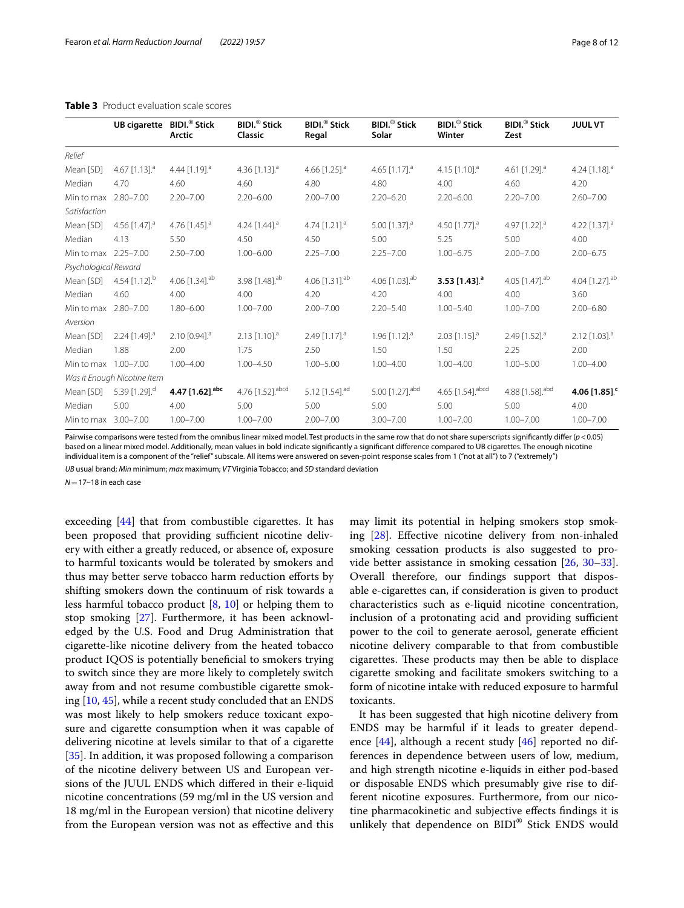|                      | <b>UB cigarette</b>         | <b>BIDI.</b> <sup>®</sup> Stick<br>Arctic | <b>BIDI.</b> <sup>®</sup> Stick<br>Classic | <b>BIDI.</b> <sup>®</sup> Stick<br>Regal | <b>BIDI.</b> <sup>®</sup> Stick<br>Solar | <b>BIDI.</b> <sup>®</sup> Stick<br>Winter | <b>BIDI.</b> <sup>®</sup> Stick<br>Zest | <b>JUUL VT</b>              |
|----------------------|-----------------------------|-------------------------------------------|--------------------------------------------|------------------------------------------|------------------------------------------|-------------------------------------------|-----------------------------------------|-----------------------------|
| Relief               |                             |                                           |                                            |                                          |                                          |                                           |                                         |                             |
| Mean [SD]            | 4.67 $[1.13]$ <sup>a</sup>  | 4.44 $[1.19]$ <sup>a</sup>                | 4.36 [1.13]. <sup>a</sup>                  | 4.66 $[1.25]$ <sup>a</sup>               | 4.65 $[1.17]$ <sup>a</sup>               | 4.15 $[1.10]$ <sup>a</sup>                | 4.61 $[1.29]$ <sup>a</sup>              | 4.24 $[1.18]$ <sup>a</sup>  |
| Median               | 4.70                        | 4.60                                      | 4.60                                       | 4.80                                     | 4.80                                     | 4.00                                      | 4.60                                    | 4.20                        |
| Min to max           | $2.80 - 7.00$               | $2.20 - 7.00$                             | $2.20 - 6.00$                              | $2.00 - 7.00$                            | $2.20 - 6.20$                            | $2.20 - 6.00$                             | $2.20 - 7.00$                           | $2.60 - 7.00$               |
| Satisfaction         |                             |                                           |                                            |                                          |                                          |                                           |                                         |                             |
| Mean [SD]            | 4.56 $[1.47]$ <sup>a</sup>  | 4.76 $[1.45]$ <sup>a</sup>                | 4.24 [1.44]. <sup>a</sup>                  | 4.74 [1.21]. <sup>a</sup>                | 5.00 [1.37]. <sup>a</sup>                | 4.50 [1.77]. <sup>a</sup>                 | 4.97 [1.22]. <sup>a</sup>               | 4.22 [1.37]. <sup>a</sup>   |
| Median               | 4.13                        | 5.50                                      | 4.50                                       | 4.50                                     | 5.00                                     | 5.25                                      | 5.00                                    | 4.00                        |
| Min to max 2.25-7.00 |                             | $2.50 - 7.00$                             | $1.00 - 6.00$                              | $2.25 - 7.00$                            | $2.25 - 7.00$                            | $1.00 - 6.75$                             | $2.00 - 7.00$                           | $2.00 - 6.75$               |
| Psychological Reward |                             |                                           |                                            |                                          |                                          |                                           |                                         |                             |
| Mean [SD]            | 4.54 $[1.12]$ <sup>b</sup>  | 4.06 [1.34]. <sup>ab</sup>                | 3.98 [1.48]. <sup>ab</sup>                 | 4.06 $[1.31]$ <sup>ab</sup>              | 4.06 [1.03]. <sup>ab</sup>               | 3.53 [1.43]. <sup>a</sup>                 | 4.05 [1.47]. <sup>ab</sup>              | 4.04 [1.27]. <sup>ab</sup>  |
| Median               | 4.60                        | 4.00                                      | 4.00                                       | 4.20                                     | 4.20                                     | 4.00                                      | 4.00                                    | 3.60                        |
| Min to max           | $2.80 - 7.00$               | $1.80 - 6.00$                             | $1.00 - 7.00$                              | $2.00 - 7.00$                            | $2.20 - 5.40$                            | $1.00 - 5.40$                             | $1.00 - 7.00$                           | $2.00 - 6.80$               |
| Aversion             |                             |                                           |                                            |                                          |                                          |                                           |                                         |                             |
| Mean [SD]            | 2.24 [1.49]. <sup>a</sup>   | $2.10$ [0.94]. <sup>a</sup>               | $2.13$ [1.10]. <sup>a</sup>                | 2.49 $[1.17]$ <sup>a</sup>               | 1.96 $[1.12]$ <sup>a</sup>               | $2.03$ [1.15]. <sup>a</sup>               | 2.49 $[1.52]$ <sup>a</sup>              | $2.12$ [1.03]. <sup>a</sup> |
| Median               | 1.88                        | 2.00                                      | 1.75                                       | 2.50                                     | 1.50                                     | 1.50                                      | 2.25                                    | 2.00                        |
| Min to max 1.00-7.00 |                             | $1.00 - 4.00$                             | $1.00 - 4.50$                              | $1.00 - 5.00$                            | $1.00 - 4.00$                            | $1.00 - 4.00$                             | $1.00 - 5.00$                           | $1.00 - 4.00$               |
|                      | Was it Enough Nicotine Item |                                           |                                            |                                          |                                          |                                           |                                         |                             |
| Mean [SD]            | 5.39 $[1.29]$ <sup>d</sup>  | 4.47 [1.62]. <sup>abc</sup>               | 4.76 [1.52]. abcd                          | 5.12 $[1.54]$ <sup>ad</sup>              | 5.00 [1.27]. <sup>abd</sup>              | 4.65 [1.54]. abcd                         | 4.88 [1.58]. <sup>abd</sup>             | 4.06 [1.85]. <sup>c</sup>   |
| Median               | 5.00                        | 4.00                                      | 5.00                                       | 5.00                                     | 5.00                                     | 5.00                                      | 5.00                                    | 4.00                        |
| Min to max 3.00-7.00 |                             | $1.00 - 7.00$                             | $1.00 - 7.00$                              | $2.00 - 7.00$                            | $3.00 - 7.00$                            | $1.00 - 7.00$                             | $1.00 - 7.00$                           | $1.00 - 7.00$               |

# <span id="page-7-0"></span>**Table 3** Product evaluation scale scores

Pairwise comparisons were tested from the omnibus linear mixed model. Test products in the same row that do not share superscripts signifcantly difer (*p*<0.05) based on a linear mixed model. Additionally, mean values in bold indicate significantly a significant difference compared to UB cigarettes. The enough nicotine individual item is a component of the "relief" subscale. All items were answered on seven-point response scales from 1 ("not at all") to 7 ("extremely")

*UB* usual brand; *Min* minimum; *max* maximum; *VT* Virginia Tobacco; and *SD* standard deviation

 $N = 17-18$  in each case

exceeding [[44](#page-10-21)] that from combustible cigarettes. It has been proposed that providing sufficient nicotine delivery with either a greatly reduced, or absence of, exposure to harmful toxicants would be tolerated by smokers and thus may better serve tobacco harm reduction eforts by shifting smokers down the continuum of risk towards a less harmful tobacco product  $[8, 10]$  $[8, 10]$  $[8, 10]$  $[8, 10]$  or helping them to stop smoking [\[27](#page-10-20)]. Furthermore, it has been acknowledged by the U.S. Food and Drug Administration that cigarette-like nicotine delivery from the heated tobacco product IQOS is potentially benefcial to smokers trying to switch since they are more likely to completely switch away from and not resume combustible cigarette smoking [[10,](#page-9-16) [45](#page-10-22)], while a recent study concluded that an ENDS was most likely to help smokers reduce toxicant exposure and cigarette consumption when it was capable of delivering nicotine at levels similar to that of a cigarette [[35\]](#page-10-23). In addition, it was proposed following a comparison of the nicotine delivery between US and European versions of the JUUL ENDS which difered in their e-liquid nicotine concentrations (59 mg/ml in the US version and 18 mg/ml in the European version) that nicotine delivery from the European version was not as efective and this may limit its potential in helping smokers stop smoking [[28\]](#page-10-6). Efective nicotine delivery from non-inhaled smoking cessation products is also suggested to provide better assistance in smoking cessation [[26,](#page-10-5) [30](#page-10-24)[–33](#page-10-10)]. Overall therefore, our fndings support that disposable e-cigarettes can, if consideration is given to product characteristics such as e-liquid nicotine concentration, inclusion of a protonating acid and providing sufficient power to the coil to generate aerosol, generate efficient nicotine delivery comparable to that from combustible cigarettes. These products may then be able to displace cigarette smoking and facilitate smokers switching to a form of nicotine intake with reduced exposure to harmful toxicants.

It has been suggested that high nicotine delivery from ENDS may be harmful if it leads to greater dependence  $[44]$ , although a recent study  $[46]$  $[46]$  reported no differences in dependence between users of low, medium, and high strength nicotine e-liquids in either pod-based or disposable ENDS which presumably give rise to different nicotine exposures. Furthermore, from our nicotine pharmacokinetic and subjective efects fndings it is unlikely that dependence on BIDI<sup>®</sup> Stick ENDS would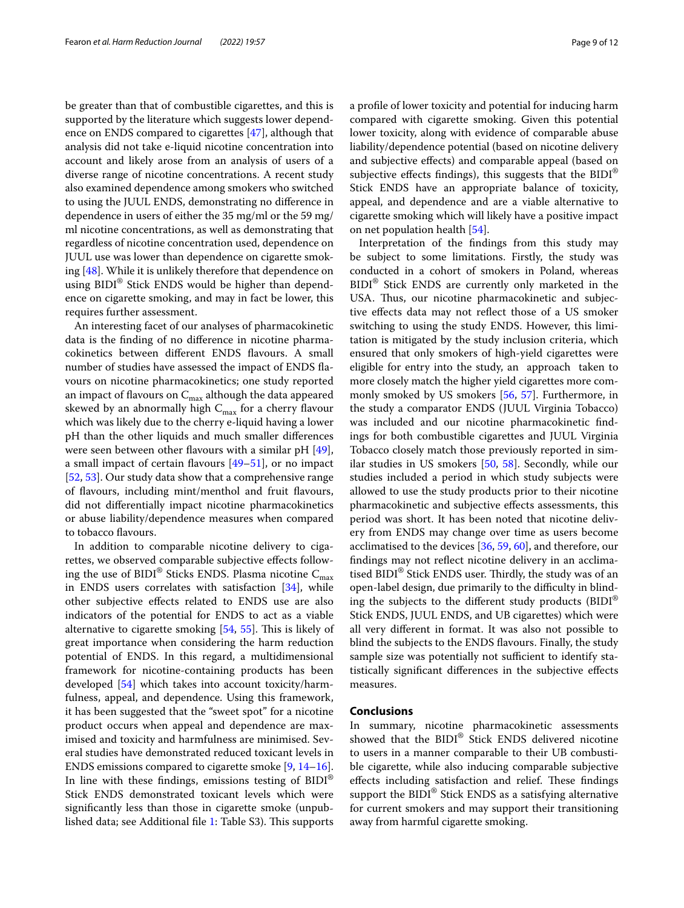be greater than that of combustible cigarettes, and this is supported by the literature which suggests lower dependence on ENDS compared to cigarettes [[47\]](#page-10-26), although that analysis did not take e-liquid nicotine concentration into account and likely arose from an analysis of users of a diverse range of nicotine concentrations. A recent study also examined dependence among smokers who switched to using the JUUL ENDS, demonstrating no diference in dependence in users of either the 35 mg/ml or the 59 mg/ ml nicotine concentrations, as well as demonstrating that regardless of nicotine concentration used, dependence on JUUL use was lower than dependence on cigarette smoking [[48\]](#page-10-27). While it is unlikely therefore that dependence on using BIDI® Stick ENDS would be higher than dependence on cigarette smoking, and may in fact be lower, this requires further assessment.

An interesting facet of our analyses of pharmacokinetic data is the fnding of no diference in nicotine pharmacokinetics between diferent ENDS favours. A small number of studies have assessed the impact of ENDS favours on nicotine pharmacokinetics; one study reported an impact of flavours on  $C_{\text{max}}$  although the data appeared skewed by an abnormally high  $C_{\text{max}}$  for a cherry flavour which was likely due to the cherry e-liquid having a lower pH than the other liquids and much smaller diferences were seen between other flavours with a similar pH [\[49](#page-10-28)], a small impact of certain flavours  $[49-51]$  $[49-51]$  $[49-51]$ , or no impact [[52,](#page-10-30) [53](#page-10-31)]. Our study data show that a comprehensive range of favours, including mint/menthol and fruit favours, did not diferentially impact nicotine pharmacokinetics or abuse liability/dependence measures when compared to tobacco favours.

In addition to comparable nicotine delivery to cigarettes, we observed comparable subjective efects following the use of BIDI® Sticks ENDS. Plasma nicotine  $C_{\text{max}}$ in ENDS users correlates with satisfaction [\[34](#page-10-11)], while other subjective efects related to ENDS use are also indicators of the potential for ENDS to act as a viable alternative to cigarette smoking  $[54, 55]$  $[54, 55]$  $[54, 55]$  $[54, 55]$ . This is likely of great importance when considering the harm reduction potential of ENDS. In this regard, a multidimensional framework for nicotine-containing products has been developed [\[54](#page-10-32)] which takes into account toxicity/harmfulness, appeal, and dependence. Using this framework, it has been suggested that the "sweet spot" for a nicotine product occurs when appeal and dependence are maximised and toxicity and harmfulness are minimised. Several studies have demonstrated reduced toxicant levels in ENDS emissions compared to cigarette smoke [\[9](#page-9-8), [14](#page-9-12)[–16](#page-9-13)]. In line with these findings, emissions testing of  $BIDI^{\otimes}$ Stick ENDS demonstrated toxicant levels which were signifcantly less than those in cigarette smoke (unpub-lished data; see Additional file [1](#page-9-15): Table S3). This supports a profle of lower toxicity and potential for inducing harm compared with cigarette smoking. Given this potential lower toxicity, along with evidence of comparable abuse liability/dependence potential (based on nicotine delivery and subjective efects) and comparable appeal (based on subjective effects findings), this suggests that the  $BIDI^{\otimes}$ Stick ENDS have an appropriate balance of toxicity, appeal, and dependence and are a viable alternative to cigarette smoking which will likely have a positive impact on net population health [\[54\]](#page-10-32).

Interpretation of the fndings from this study may be subject to some limitations. Firstly, the study was conducted in a cohort of smokers in Poland, whereas BIDI<sup>®</sup> Stick ENDS are currently only marketed in the USA. Thus, our nicotine pharmacokinetic and subjective efects data may not refect those of a US smoker switching to using the study ENDS. However, this limitation is mitigated by the study inclusion criteria, which ensured that only smokers of high-yield cigarettes were eligible for entry into the study, an approach taken to more closely match the higher yield cigarettes more commonly smoked by US smokers [\[56](#page-10-34), [57\]](#page-11-0). Furthermore, in the study a comparator ENDS (JUUL Virginia Tobacco) was included and our nicotine pharmacokinetic fndings for both combustible cigarettes and JUUL Virginia Tobacco closely match those previously reported in similar studies in US smokers [\[50,](#page-10-35) [58\]](#page-11-1). Secondly, while our studies included a period in which study subjects were allowed to use the study products prior to their nicotine pharmacokinetic and subjective efects assessments, this period was short. It has been noted that nicotine delivery from ENDS may change over time as users become acclimatised to the devices [[36,](#page-10-12) [59](#page-11-2), [60](#page-11-3)], and therefore, our fndings may not refect nicotine delivery in an acclimatised BIDI® Stick ENDS user. Thirdly, the study was of an open-label design, due primarily to the difficulty in blinding the subjects to the different study products ( $BIDI^{\otimes}$ Stick ENDS, JUUL ENDS, and UB cigarettes) which were all very diferent in format. It was also not possible to blind the subjects to the ENDS favours. Finally, the study sample size was potentially not sufficient to identify statistically signifcant diferences in the subjective efects measures.

# **Conclusions**

In summary, nicotine pharmacokinetic assessments showed that the BIDI® Stick ENDS delivered nicotine to users in a manner comparable to their UB combustible cigarette, while also inducing comparable subjective effects including satisfaction and relief. These findings support the BIDI<sup>®</sup> Stick ENDS as a satisfying alternative for current smokers and may support their transitioning away from harmful cigarette smoking.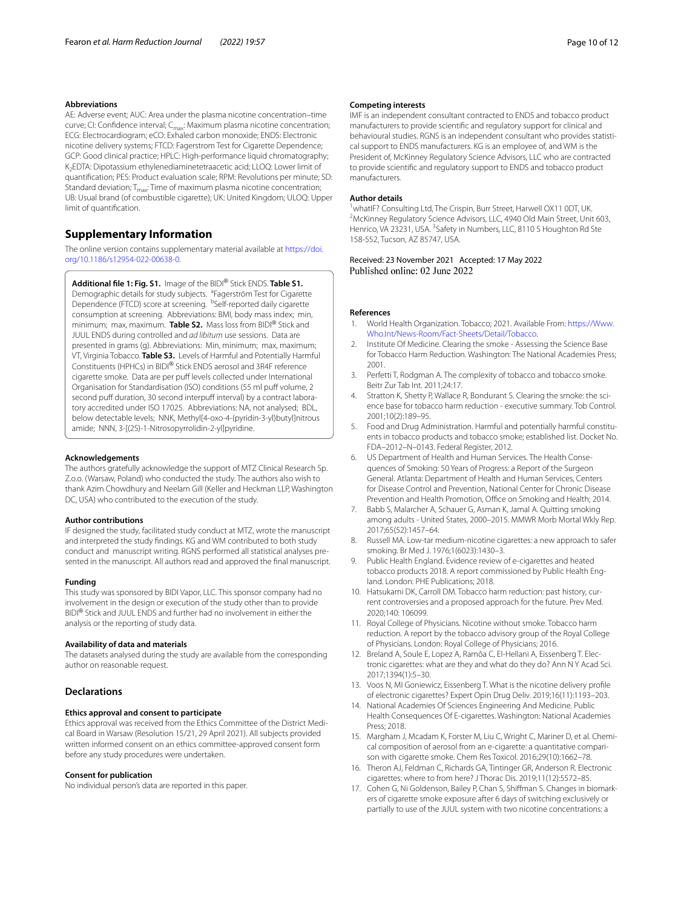#### **Abbreviations**

AE: Adverse event; AUC: Area under the plasma nicotine concentration–time curve; CI: Confidence interval; C<sub>max</sub>: Maximum plasma nicotine concentration; ECG: Electrocardiogram; eCO: Exhaled carbon monoxide; ENDS: Electronic nicotine delivery systems; FTCD: Fagerstrom Test for Cigarette Dependence; GCP: Good clinical practice; HPLC: High-performance liquid chromatography; K2EDTA: Dipotassium ethylenediaminetetraacetic acid; LLOQ: Lower limit of quantifcation; PES: Product evaluation scale; RPM: Revolutions per minute; SD: Standard deviation;  $T_{\text{max}}$ : Time of maximum plasma nicotine concentration; UB: Usual brand (of combustible cigarette); UK: United Kingdom; ULOQ: Upper limit of quantifcation.

# **Supplementary Information**

The online version contains supplementary material available at [https://doi.](https://doi.org/10.1186/s12954-022-00638-0) [org/10.1186/s12954-022-00638-0](https://doi.org/10.1186/s12954-022-00638-0).

<span id="page-9-15"></span>**Additional fle 1: Fig. S1.** Image of the BIDI® Stick ENDS. **Table S1.** Demographic details for study subjects. <sup>a</sup>Fagerström Test for Cigarette Dependence (FTCD) score at screening. <sup>b</sup>Self-reported daily cigarette consumption at screening. Abbreviations: BMI, body mass index; min, minimum; max, maximum. **Table S2.** Mass loss from BIDI® Stick and JUUL ENDS during controlled and *ad libitum* use sessions. Data are presented in grams (g). Abbreviations: Min, minimum; max, maximum; VT, Virginia Tobacco. **Table S3.** Levels of Harmful and Potentially Harmful Constituents (HPHCs) in BIDI® Stick ENDS aerosol and 3R4F reference cigarette smoke. Data are per puff levels collected under International Organisation for Standardisation (ISO) conditions (55 ml puff volume, 2 second puff duration, 30 second interpuff interval) by a contract laboratory accredited under ISO 17025. Abbreviations: NA, not analysed; BDL, below detectable levels; NNK, Methyl[4-oxo-4-(pyridin-3-yl)butyl]nitrous amide; NNN, 3-[(2S)-1-Nitrosopyrrolidin-2-yl]pyridine.

#### **Acknowledgements**

The authors gratefully acknowledge the support of MTZ Clinical Research Sp. Z.o.o. (Warsaw, Poland) who conducted the study. The authors also wish to thank Azim Chowdhury and Neelam Gill (Keller and Heckman LLP, Washington DC, USA) who contributed to the execution of the study.

# **Author contributions**

IF designed the study, facilitated study conduct at MTZ, wrote the manuscript and interpreted the study fndings. KG and WM contributed to both study conduct and manuscript writing. RGNS performed all statistical analyses presented in the manuscript. All authors read and approved the fnal manuscript.

#### **Funding**

This study was sponsored by BIDI Vapor, LLC. This sponsor company had no involvement in the design or execution of the study other than to provide BIDI® Stick and JUUL ENDS and further had no involvement in either the analysis or the reporting of study data.

#### **Availability of data and materials**

The datasets analysed during the study are available from the corresponding author on reasonable request.

#### **Declarations**

#### **Ethics approval and consent to participate**

Ethics approval was received from the Ethics Committee of the District Medical Board in Warsaw (Resolution 15/21, 29 April 2021). All subjects provided written informed consent on an ethics committee-approved consent form before any study procedures were undertaken.

#### **Consent for publication**

No individual person's data are reported in this paper.

#### **Competing interests**

IMF is an independent consultant contracted to ENDS and tobacco product manufacturers to provide scientifc and regulatory support for clinical and behavioural studies. RGNS is an independent consultant who provides statistical support to ENDS manufacturers. KG is an employee of, and WM is the President of, McKinney Regulatory Science Advisors, LLC who are contracted to provide scientifc and regulatory support to ENDS and tobacco product manufacturers.

#### **Author details**

<sup>1</sup> whatIF? Consulting Ltd, The Crispin, Burr Street, Harwell OX11 0DT, UK.<br><sup>2</sup> McKinney Bequlatory Science Advisors LLC, 4940 Old Main Street, Unit <sup>2</sup>McKinney Regulatory Science Advisors, LLC, 4940 Old Main Street, Unit 603, Henrico, VA 23231, USA. <sup>3</sup> Safety in Numbers, LLC, 8110 S Houghton Rd Ste 158-552, Tucson, AZ 85747, USA.

# Received: 23 November 2021 Accepted: 17 May 2022 Published online: 02 June 2022

#### **References**

- <span id="page-9-0"></span>1. World Health Organization. Tobacco; 2021. Available From: [https://Www.](https://Www.Who.Int/News-Room/Fact-Sheets/Detail/Tobacco) [Who.Int/News-Room/Fact-Sheets/Detail/Tobacco](https://Www.Who.Int/News-Room/Fact-Sheets/Detail/Tobacco).
- <span id="page-9-1"></span>Institute Of Medicine. Clearing the smoke - Assessing the Science Base for Tobacco Harm Reduction. Washington: The National Academies Press; 2001.
- <span id="page-9-3"></span>3. Perfetti T, Rodgman A. The complexity of tobacco and tobacco smoke. Beitr Zur Tab Int. 2011;24:17.
- <span id="page-9-2"></span>4. Stratton K, Shetty P, Wallace R, Bondurant S. Clearing the smoke: the science base for tobacco harm reduction - executive summary. Tob Control. 2001;10(2):189–95.
- <span id="page-9-4"></span>5. Food and Drug Administration. Harmful and potentially harmful constituents in tobacco products and tobacco smoke; established list. Docket No. FDA–2012–N–0143. Federal Register, 2012.
- <span id="page-9-5"></span>6. US Department of Health and Human Services. The Health Consequences of Smoking: 50 Years of Progress: a Report of the Surgeon General. Atlanta: Department of Health and Human Services, Centers for Disease Control and Prevention, National Center for Chronic Disease Prevention and Health Promotion, Office on Smoking and Health; 2014.
- <span id="page-9-6"></span>7. Babb S, Malarcher A, Schauer G, Asman K, Jamal A. Quitting smoking among adults - United States, 2000–2015. MMWR Morb Mortal Wkly Rep. 2017;65(52):1457–64.
- <span id="page-9-7"></span>8. Russell MA. Low-tar medium-nicotine cigarettes: a new approach to safer smoking. Br Med J. 1976;1(6023):1430–3.
- <span id="page-9-8"></span>9. Public Health England. Evidence review of e-cigarettes and heated tobacco products 2018. A report commissioned by Public Health England. London: PHE Publications; 2018.
- <span id="page-9-16"></span>10. Hatsukami DK, Carroll DM. Tobacco harm reduction: past history, current controversies and a proposed approach for the future. Prev Med. 2020;140: 106099.
- <span id="page-9-9"></span>11. Royal College of Physicians. Nicotine without smoke. Tobacco harm reduction. A report by the tobacco advisory group of the Royal College of Physicians. London: Royal College of Physicians; 2016.
- <span id="page-9-10"></span>12. Breland A, Soule E, Lopez A, Ramôa C, El-Hellani A, Eissenberg T. Electronic cigarettes: what are they and what do they do? Ann N Y Acad Sci. 2017;1394(1):5–30.
- <span id="page-9-11"></span>13. Voos N, MI Goniewicz, Eissenberg T. What is the nicotine delivery profle of electronic cigarettes? Expert Opin Drug Deliv. 2019;16(11):1193–203.
- <span id="page-9-12"></span>14. National Academies Of Sciences Engineering And Medicine. Public Health Consequences Of E-cigarettes. Washington: National Academies Press; 2018.
- 15. Margham J, Mcadam K, Forster M, Liu C, Wright C, Mariner D, et al. Chemical composition of aerosol from an e-cigarette: a quantitative comparison with cigarette smoke. Chem Res Toxicol. 2016;29(10):1662–78.
- <span id="page-9-13"></span>16. Theron AJ, Feldman C, Richards GA, Tintinger GR, Anderson R. Electronic cigarettes: where to from here? J Thorac Dis. 2019;11(12):5572–85.
- <span id="page-9-14"></span>17. Cohen G, Ni Goldenson, Bailey P, Chan S, Shiffman S. Changes in biomarkers of cigarette smoke exposure after 6 days of switching exclusively or partially to use of the JUUL system with two nicotine concentrations: a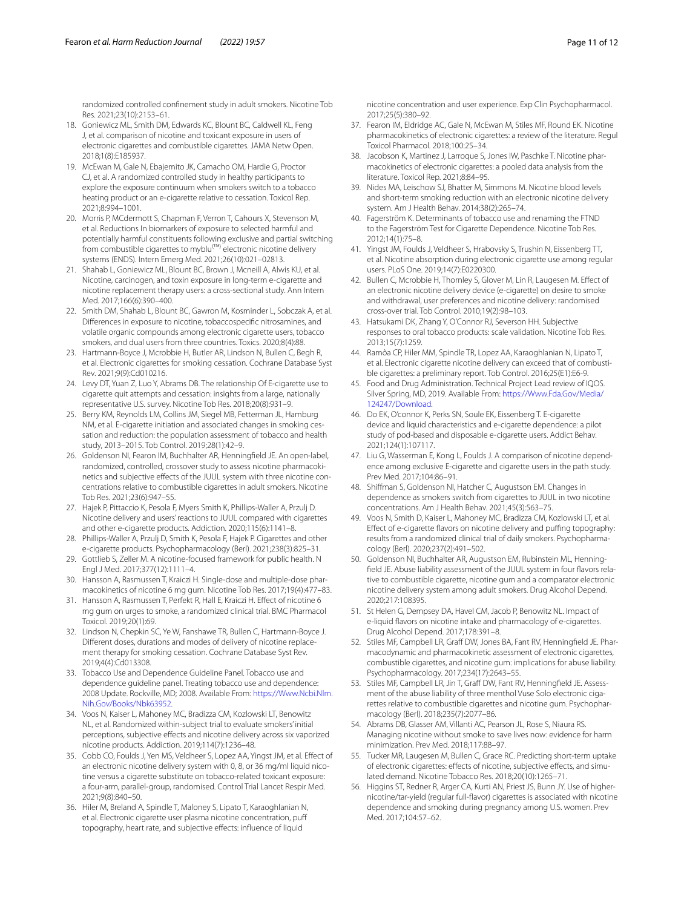randomized controlled confnement study in adult smokers. Nicotine Tob Res. 2021;23(10):2153–61.

- 18. Goniewicz ML, Smith DM, Edwards KC, Blount BC, Caldwell KL, Feng J, et al. comparison of nicotine and toxicant exposure in users of electronic cigarettes and combustible cigarettes. JAMA Netw Open. 2018;1(8):E185937.
- <span id="page-10-1"></span>19. McEwan M, Gale N, Ebajemito JK, Camacho OM, Hardie G, Proctor CJ, et al. A randomized controlled study in healthy participants to explore the exposure continuum when smokers switch to a tobacco heating product or an e-cigarette relative to cessation. Toxicol Rep. 2021;8:994–1001.
- 20. Morris P, MCdermott S, Chapman F, Verron T, Cahours X, Stevenson M, et al. Reductions In biomarkers of exposure to selected harmful and potentially harmful constituents following exclusive and partial switching from combustible cigarettes to myblu<sup>(™)</sup> electronic nicotine delivery systems (ENDS). Intern Emerg Med. 2021;26(10):021–02813.
- 21. Shahab L, Goniewicz ML, Blount BC, Brown J, Mcneill A, Alwis KU, et al. Nicotine, carcinogen, and toxin exposure in long-term e-cigarette and nicotine replacement therapy users: a cross-sectional study. Ann Intern Med. 2017;166(6):390–400.
- <span id="page-10-0"></span>22. Smith DM, Shahab L, Blount BC, Gawron M, Kosminder L, Sobczak A, et al. Diferences in exposure to nicotine, tobaccospecifc nitrosamines, and volatile organic compounds among electronic cigarette users, tobacco smokers, and dual users from three countries. Toxics. 2020;8(4):88.
- <span id="page-10-2"></span>23. Hartmann-Boyce J, Mcrobbie H, Butler AR, Lindson N, Bullen C, Begh R, et al. Electronic cigarettes for smoking cessation. Cochrane Database Syst Rev. 2021;9(9):Cd010216.
- <span id="page-10-3"></span>24. Levy DT, Yuan Z, Luo Y, Abrams DB. The relationship Of E-cigarette use to cigarette quit attempts and cessation: insights from a large, nationally representative U.S. survey. Nicotine Tob Res. 2018;20(8):931–9.
- <span id="page-10-4"></span>25. Berry KM, Reynolds LM, Collins JM, Siegel MB, Fetterman JL, Hamburg NM, et al. E-cigarette initiation and associated changes in smoking cessation and reduction: the population assessment of tobacco and health study, 2013–2015. Tob Control. 2019;28(1):42–9.
- <span id="page-10-5"></span>26. Goldenson NI, Fearon IM, Buchhalter AR, Henningfeld JE. An open-label, randomized, controlled, crossover study to assess nicotine pharmacokinetics and subjective effects of the JUUL system with three nicotine concentrations relative to combustible cigarettes in adult smokers. Nicotine Tob Res. 2021;23(6):947–55.
- <span id="page-10-20"></span>27. Hajek P, Pittaccio K, Pesola F, Myers Smith K, Phillips-Waller A, Przulj D. Nicotine delivery and users' reactions to JUUL compared with cigarettes and other e-cigarette products. Addiction. 2020;115(6):1141–8.
- <span id="page-10-6"></span>28. Phillips-Waller A, Przulj D, Smith K, Pesola F, Hajek P. Cigarettes and other e-cigarette products. Psychopharmacology (Berl). 2021;238(3):825–31.
- <span id="page-10-7"></span>29. Gottlieb S, Zeller M. A nicotine-focused framework for public health. N Engl J Med. 2017;377(12):1111–4.
- <span id="page-10-24"></span>30. Hansson A, Rasmussen T, Kraiczi H. Single-dose and multiple-dose pharmacokinetics of nicotine 6 mg gum. Nicotine Tob Res. 2017;19(4):477–83.
- <span id="page-10-8"></span>31. Hansson A, Rasmussen T, Perfekt R, Hall E, Kraiczi H. Efect of nicotine 6 mg gum on urges to smoke, a randomized clinical trial. BMC Pharmacol Toxicol. 2019;20(1):69.
- <span id="page-10-9"></span>32. Lindson N, Chepkin SC, Ye W, Fanshawe TR, Bullen C, Hartmann-Boyce J. Diferent doses, durations and modes of delivery of nicotine replacement therapy for smoking cessation. Cochrane Database Syst Rev. 2019;4(4):Cd013308.
- <span id="page-10-10"></span>33. Tobacco Use and Dependence Guideline Panel. Tobacco use and dependence guideline panel. Treating tobacco use and dependence: 2008 Update. Rockville, MD; 2008. Available From: [https://Www.Ncbi.Nlm.](https://Www.Ncbi.Nlm.Nih.Gov/Books/Nbk63952) [Nih.Gov/Books/Nbk63952](https://Www.Ncbi.Nlm.Nih.Gov/Books/Nbk63952).
- <span id="page-10-11"></span>34. Voos N, Kaiser L, Mahoney MC, Bradizza CM, Kozlowski LT, Benowitz NL, et al. Randomized within-subject trial to evaluate smokers' initial perceptions, subjective efects and nicotine delivery across six vaporized nicotine products. Addiction. 2019;114(7):1236–48.
- <span id="page-10-23"></span>35. Cobb CO, Foulds J, Yen MS, Veldheer S, Lopez AA, Yingst JM, et al. Efect of an electronic nicotine delivery system with 0, 8, or 36 mg/ml liquid nicotine versus a cigarette substitute on tobacco-related toxicant exposure: a four-arm, parallel-group, randomised. Control Trial Lancet Respir Med. 2021;9(8):840–50.
- <span id="page-10-12"></span>36. Hiler M, Breland A, Spindle T, Maloney S, Lipato T, Karaoghlanian N, et al. Electronic cigarette user plasma nicotine concentration, puf topography, heart rate, and subjective efects: infuence of liquid

nicotine concentration and user experience. Exp Clin Psychopharmacol. 2017;25(5):380–92.

- <span id="page-10-13"></span>37. Fearon IM, Eldridge AC, Gale N, McEwan M, Stiles MF, Round EK. Nicotine pharmacokinetics of electronic cigarettes: a review of the literature. Regul Toxicol Pharmacol. 2018;100:25–34.
- <span id="page-10-14"></span>38. Jacobson K, Martinez J, Larroque S, Jones IW, Paschke T. Nicotine pharmacokinetics of electronic cigarettes: a pooled data analysis from the literature. Toxicol Rep. 2021;8:84–95.
- <span id="page-10-15"></span>39. Nides MA, Leischow SJ, Bhatter M, Simmons M. Nicotine blood levels and short-term smoking reduction with an electronic nicotine delivery system. Am J Health Behav. 2014;38(2):265–74.
- <span id="page-10-16"></span>40. Fagerström K. Determinants of tobacco use and renaming the FTND to the Fagerström Test for Cigarette Dependence. Nicotine Tob Res. 2012;14(1):75–8.
- <span id="page-10-17"></span>41. Yingst JM, Foulds J, Veldheer S, Hrabovsky S, Trushin N, Eissenberg TT, et al. Nicotine absorption during electronic cigarette use among regular users. PLoS One. 2019;14(7):E0220300.
- <span id="page-10-18"></span>42. Bullen C, Mcrobbie H, Thornley S, Glover M, Lin R, Laugesen M. Efect of an electronic nicotine delivery device (e-cigarette) on desire to smoke and withdrawal, user preferences and nicotine delivery: randomised cross-over trial. Tob Control. 2010;19(2):98–103.
- <span id="page-10-19"></span>43. Hatsukami DK, Zhang Y, O'Connor RJ, Severson HH. Subjective responses to oral tobacco products: scale validation. Nicotine Tob Res. 2013;15(7):1259.
- <span id="page-10-21"></span>44. Ramôa CP, Hiler MM, Spindle TR, Lopez AA, Karaoghlanian N, Lipato T, et al. Electronic cigarette nicotine delivery can exceed that of combustible cigarettes: a preliminary report. Tob Control. 2016;25(E1):E6-9.
- <span id="page-10-22"></span>45. Food and Drug Administration. Technical Project Lead review of IQOS. Silver Spring, MD, 2019. Available From: [https://Www.Fda.Gov/Media/](https://Www.Fda.Gov/Media/124247/Download) [124247/Download.](https://Www.Fda.Gov/Media/124247/Download)
- <span id="page-10-25"></span>46. Do EK, O'connor K, Perks SN, Soule EK, Eissenberg T. E-cigarette device and liquid characteristics and e-cigarette dependence: a pilot study of pod-based and disposable e-cigarette users. Addict Behav. 2021;124(1):107117.
- <span id="page-10-26"></span>47. Liu G, Wasserman E, Kong L, Foulds J. A comparison of nicotine dependence among exclusive E-cigarette and cigarette users in the path study. Prev Med. 2017;104:86–91.
- <span id="page-10-27"></span>48. Shifman S, Goldenson NI, Hatcher C, Augustson EM. Changes in dependence as smokers switch from cigarettes to JUUL in two nicotine concentrations. Am J Health Behav. 2021;45(3):563–75.
- <span id="page-10-28"></span>49. Voos N, Smith D, Kaiser L, Mahoney MC, Bradizza CM, Kozlowski LT, et al. Effect of e-cigarette flavors on nicotine delivery and puffing topography: results from a randomized clinical trial of daily smokers. Psychopharmacology (Berl). 2020;237(2):491–502.
- <span id="page-10-35"></span>50. Goldenson NI, Buchhalter AR, Augustson EM, Rubinstein ML, Henningfeld JE. Abuse liability assessment of the JUUL system in four favors relative to combustible cigarette, nicotine gum and a comparator electronic nicotine delivery system among adult smokers. Drug Alcohol Depend. 2020;217:108395.
- <span id="page-10-29"></span>51. St Helen G, Dempsey DA, Havel CM, Jacob P, Benowitz NL. Impact of e-liquid favors on nicotine intake and pharmacology of e-cigarettes. Drug Alcohol Depend. 2017;178:391–8.
- <span id="page-10-30"></span>52. Stiles MF, Campbell LR, Graf DW, Jones BA, Fant RV, Henningfeld JE. Pharmacodynamic and pharmacokinetic assessment of electronic cigarettes, combustible cigarettes, and nicotine gum: implications for abuse liability. Psychopharmacology. 2017;234(17):2643–55.
- <span id="page-10-31"></span>53. Stiles MF, Campbell LR, Jin T, Graf DW, Fant RV, Henningfeld JE. Assessment of the abuse liability of three menthol Vuse Solo electronic cigarettes relative to combustible cigarettes and nicotine gum. Psychopharmacology (Berl). 2018;235(7):2077–86.
- <span id="page-10-32"></span>54. Abrams DB, Glasser AM, Villanti AC, Pearson JL, Rose S, Niaura RS. Managing nicotine without smoke to save lives now: evidence for harm minimization. Prev Med. 2018;117:88–97.
- <span id="page-10-33"></span>55. Tucker MR, Laugesen M, Bullen C, Grace RC. Predicting short-term uptake of electronic cigarettes: effects of nicotine, subjective effects, and simulated demand. Nicotine Tobacco Res. 2018;20(10):1265–71.
- <span id="page-10-34"></span>56. Higgins ST, Redner R, Arger CA, Kurti AN, Priest JS, Bunn JY. Use of highernicotine/tar-yield (regular full-favor) cigarettes is associated with nicotine dependence and smoking during pregnancy among U.S. women. Prev Med. 2017;104:57–62.